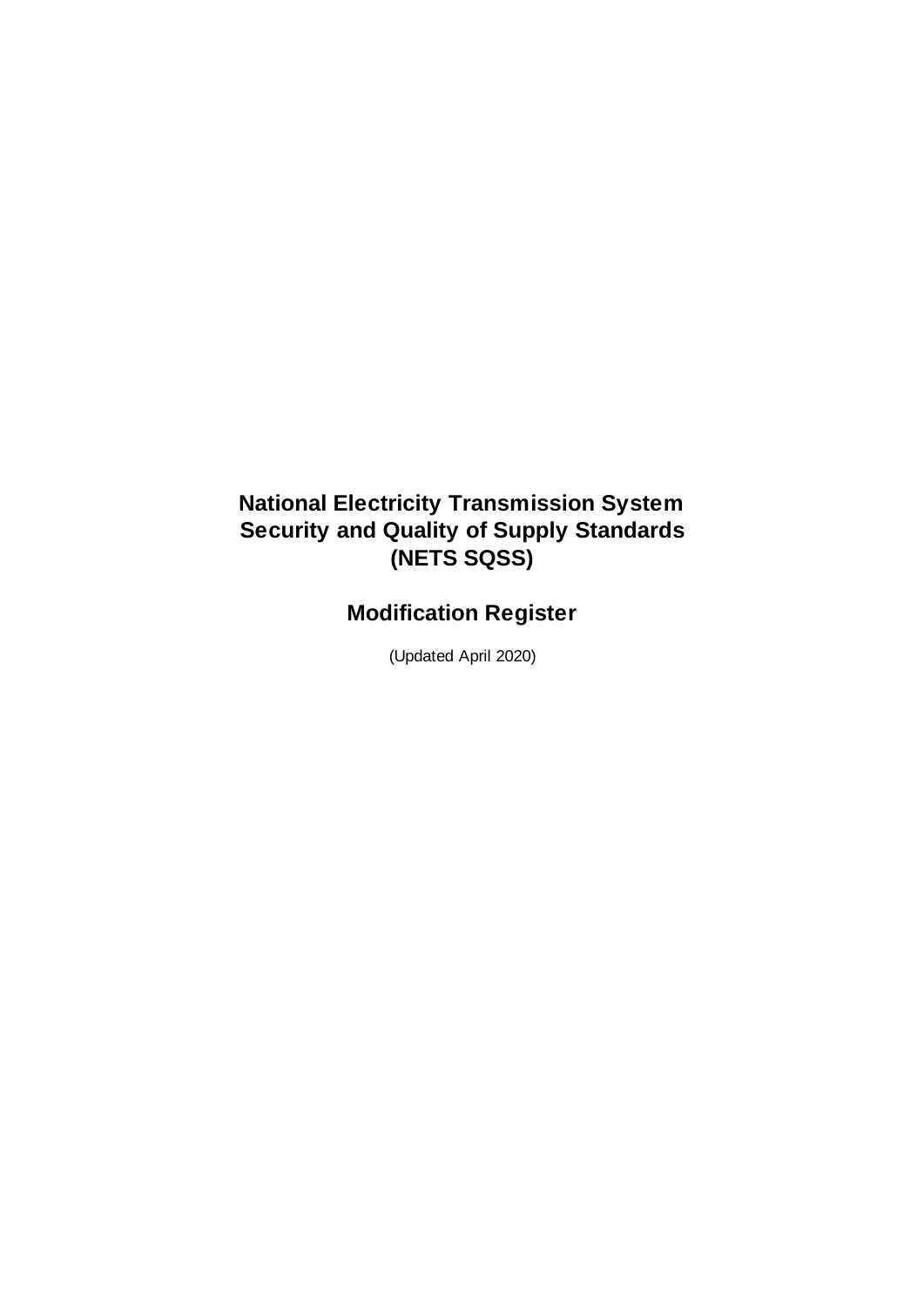## **National Electricity Transmission System Security and Quality of Supply Standards (NETS SQSS)**

## **Modification Register**

(Updated April 2020)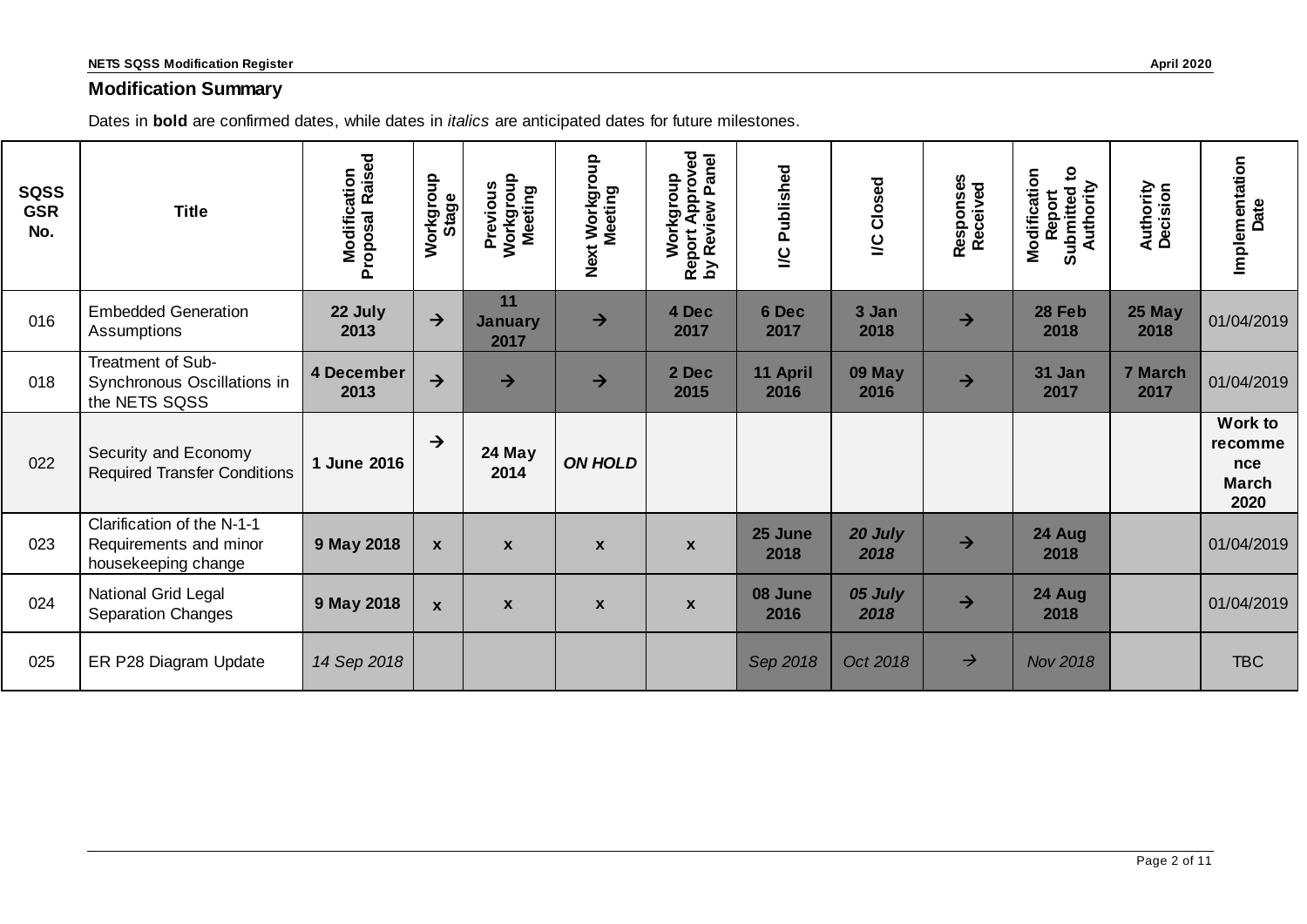## **Modification Summary**

Dates in **bold** are confirmed dates, while dates in *italics* are anticipated dates for future milestones.

| <b>SQSS</b><br><b>GSR</b><br>No. | <b>Title</b>                                                                | <b>Modification</b><br>roposal Raised<br>Proposal | Workgroup<br>Stage | Workgroup<br>Meeting<br>Previous | Next Workgroup<br>Meeting | Report Approved<br>by Review Panel<br>Workgroup<br>$\mathbf{\Sigma}$ | Published<br>$\overline{a}$ | <b>I/C Closed</b> | Responses<br>Received | $\mathbf{S}$<br>Modification<br>Authority<br>Report<br>Submitted | Authority<br>Decision | Implementation<br>Date                                   |
|----------------------------------|-----------------------------------------------------------------------------|---------------------------------------------------|--------------------|----------------------------------|---------------------------|----------------------------------------------------------------------|-----------------------------|-------------------|-----------------------|------------------------------------------------------------------|-----------------------|----------------------------------------------------------|
| 016                              | <b>Embedded Generation</b><br>Assumptions                                   | 22 July<br>2013                                   | $\rightarrow$      | 11<br><b>January</b><br>2017     | $\rightarrow$             | 4 Dec<br>2017                                                        | 6 Dec<br>2017               | 3 Jan<br>2018     | $\rightarrow$         | 28 Feb<br>2018                                                   | <b>25 May</b><br>2018 | 01/04/2019                                               |
| 018                              | Treatment of Sub-<br>Synchronous Oscillations in<br>the NETS SQSS           | 4 December<br>2013                                | $\rightarrow$      | $\rightarrow$                    | $\rightarrow$             | 2 Dec<br>2015                                                        | 11 April<br>2016            | 09 May<br>2016    | $\rightarrow$         | 31 Jan<br>2017                                                   | 7 March<br>2017       | 01/04/2019                                               |
| 022                              | Security and Economy<br><b>Required Transfer Conditions</b>                 | 1 June 2016                                       | $\rightarrow$      | 24 May<br>2014                   | <b>ON HOLD</b>            |                                                                      |                             |                   |                       |                                                                  |                       | Work to<br>recomme<br><b>nce</b><br><b>March</b><br>2020 |
| 023                              | Clarification of the N-1-1<br>Requirements and minor<br>housekeeping change | 9 May 2018                                        | $\mathbf{x}$       | $\mathbf{x}$                     | $\mathbf{x}$              | $\boldsymbol{x}$                                                     | 25 June<br>2018             | 20 July<br>2018   | $\rightarrow$         | 24 Aug<br>2018                                                   |                       | 01/04/2019                                               |
| 024                              | National Grid Legal<br><b>Separation Changes</b>                            | 9 May 2018                                        | $\mathbf{x}$       | $\boldsymbol{x}$                 | $\boldsymbol{x}$          | $\boldsymbol{\mathsf{x}}$                                            | 08 June<br>2016             | 05 July<br>2018   | $\rightarrow$         | 24 Aug<br>2018                                                   |                       | 01/04/2019                                               |
| 025                              | ER P28 Diagram Update                                                       | 14 Sep 2018                                       |                    |                                  |                           |                                                                      | Sep 2018                    | Oct 2018          | $\rightarrow$         | <b>Nov 2018</b>                                                  |                       | <b>TBC</b>                                               |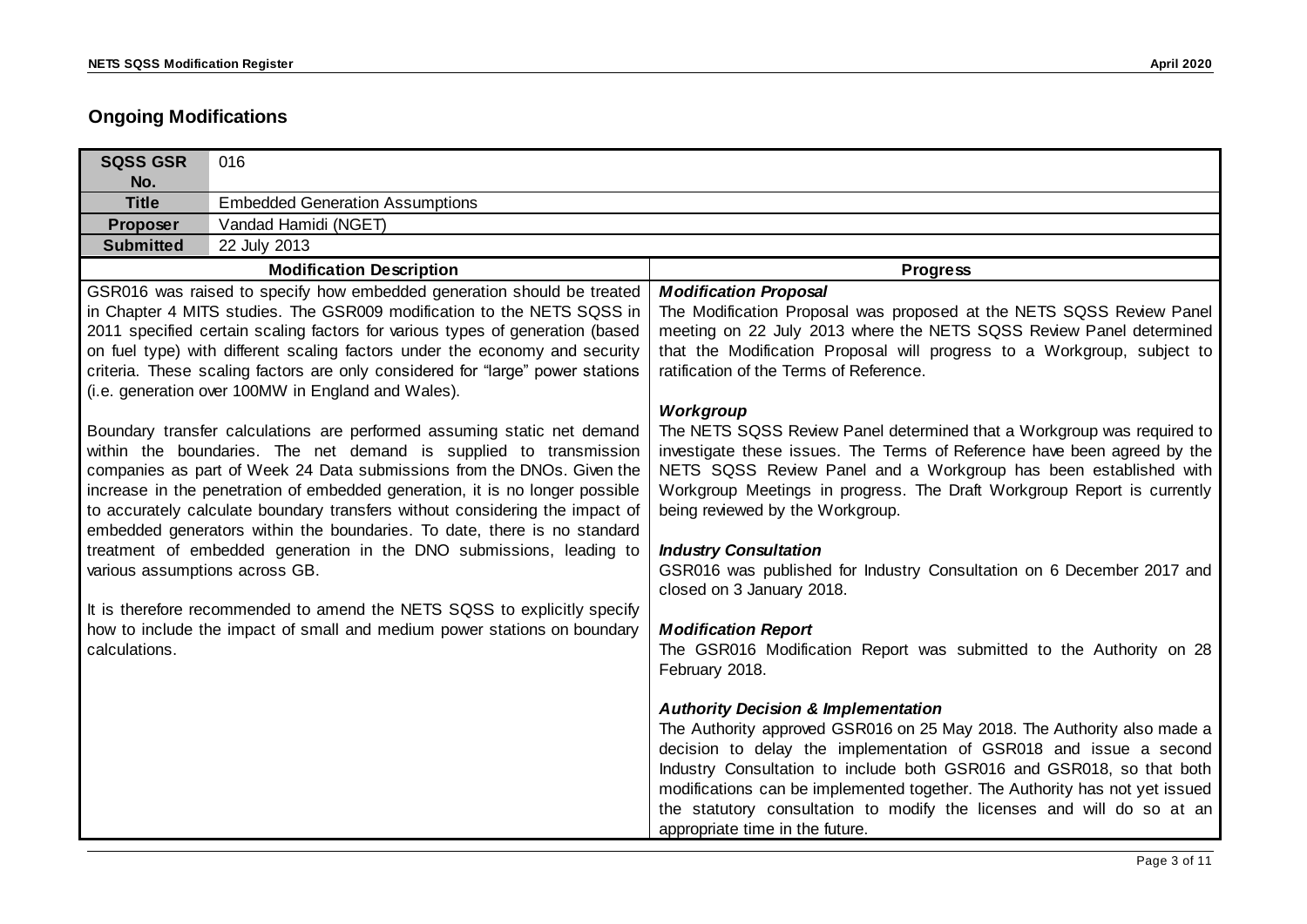## **Ongoing Modifications**

| <b>SQSS GSR</b>                                                                                                                                                                                                                                                                                                                                                                                                                                                    | 016                                                                                                                                                                                                                                                                                                                                                                                                                                                      |                                                                                                                                                                                                                                                                                                                                                                                                                                                                     |
|--------------------------------------------------------------------------------------------------------------------------------------------------------------------------------------------------------------------------------------------------------------------------------------------------------------------------------------------------------------------------------------------------------------------------------------------------------------------|----------------------------------------------------------------------------------------------------------------------------------------------------------------------------------------------------------------------------------------------------------------------------------------------------------------------------------------------------------------------------------------------------------------------------------------------------------|---------------------------------------------------------------------------------------------------------------------------------------------------------------------------------------------------------------------------------------------------------------------------------------------------------------------------------------------------------------------------------------------------------------------------------------------------------------------|
| No.                                                                                                                                                                                                                                                                                                                                                                                                                                                                |                                                                                                                                                                                                                                                                                                                                                                                                                                                          |                                                                                                                                                                                                                                                                                                                                                                                                                                                                     |
| <b>Title</b>                                                                                                                                                                                                                                                                                                                                                                                                                                                       | <b>Embedded Generation Assumptions</b>                                                                                                                                                                                                                                                                                                                                                                                                                   |                                                                                                                                                                                                                                                                                                                                                                                                                                                                     |
| Proposer                                                                                                                                                                                                                                                                                                                                                                                                                                                           | Vandad Hamidi (NGET)                                                                                                                                                                                                                                                                                                                                                                                                                                     |                                                                                                                                                                                                                                                                                                                                                                                                                                                                     |
| <b>Submitted</b>                                                                                                                                                                                                                                                                                                                                                                                                                                                   | 22 July 2013                                                                                                                                                                                                                                                                                                                                                                                                                                             |                                                                                                                                                                                                                                                                                                                                                                                                                                                                     |
|                                                                                                                                                                                                                                                                                                                                                                                                                                                                    | <b>Modification Description</b>                                                                                                                                                                                                                                                                                                                                                                                                                          | <b>Progress</b>                                                                                                                                                                                                                                                                                                                                                                                                                                                     |
|                                                                                                                                                                                                                                                                                                                                                                                                                                                                    | GSR016 was raised to specify how embedded generation should be treated<br>in Chapter 4 MITS studies. The GSR009 modification to the NETS SQSS in<br>2011 specified certain scaling factors for various types of generation (based<br>on fuel type) with different scaling factors under the economy and security<br>criteria. These scaling factors are only considered for "large" power stations<br>(i.e. generation over 100MW in England and Wales). | <b>Modification Proposal</b><br>The Modification Proposal was proposed at the NETS SQSS Review Panel<br>meeting on 22 July 2013 where the NETS SQSS Review Panel determined<br>that the Modification Proposal will progress to a Workgroup, subject to<br>ratification of the Terms of Reference.<br>Workgroup                                                                                                                                                      |
| Boundary transfer calculations are performed assuming static net demand<br>within the boundaries. The net demand is supplied to transmission<br>companies as part of Week 24 Data submissions from the DNOs. Given the<br>increase in the penetration of embedded generation, it is no longer possible<br>to accurately calculate boundary transfers without considering the impact of<br>embedded generators within the boundaries. To date, there is no standard |                                                                                                                                                                                                                                                                                                                                                                                                                                                          | The NETS SQSS Review Panel determined that a Workgroup was required to<br>investigate these issues. The Terms of Reference have been agreed by the<br>NETS SQSS Review Panel and a Workgroup has been established with<br>Workgroup Meetings in progress. The Draft Workgroup Report is currently<br>being reviewed by the Workgroup.                                                                                                                               |
| various assumptions across GB.                                                                                                                                                                                                                                                                                                                                                                                                                                     | treatment of embedded generation in the DNO submissions, leading to<br>It is therefore recommended to amend the NETS SQSS to explicitly specify                                                                                                                                                                                                                                                                                                          | <b>Industry Consultation</b><br>GSR016 was published for Industry Consultation on 6 December 2017 and<br>closed on 3 January 2018.                                                                                                                                                                                                                                                                                                                                  |
| calculations.                                                                                                                                                                                                                                                                                                                                                                                                                                                      | how to include the impact of small and medium power stations on boundary                                                                                                                                                                                                                                                                                                                                                                                 | <b>Modification Report</b><br>The GSR016 Modification Report was submitted to the Authority on 28<br>February 2018.                                                                                                                                                                                                                                                                                                                                                 |
|                                                                                                                                                                                                                                                                                                                                                                                                                                                                    |                                                                                                                                                                                                                                                                                                                                                                                                                                                          | <b>Authority Decision &amp; Implementation</b><br>The Authority approved GSR016 on 25 May 2018. The Authority also made a<br>decision to delay the implementation of GSR018 and issue a second<br>Industry Consultation to include both GSR016 and GSR018, so that both<br>modifications can be implemented together. The Authority has not yet issued<br>the statutory consultation to modify the licenses and will do so at an<br>appropriate time in the future. |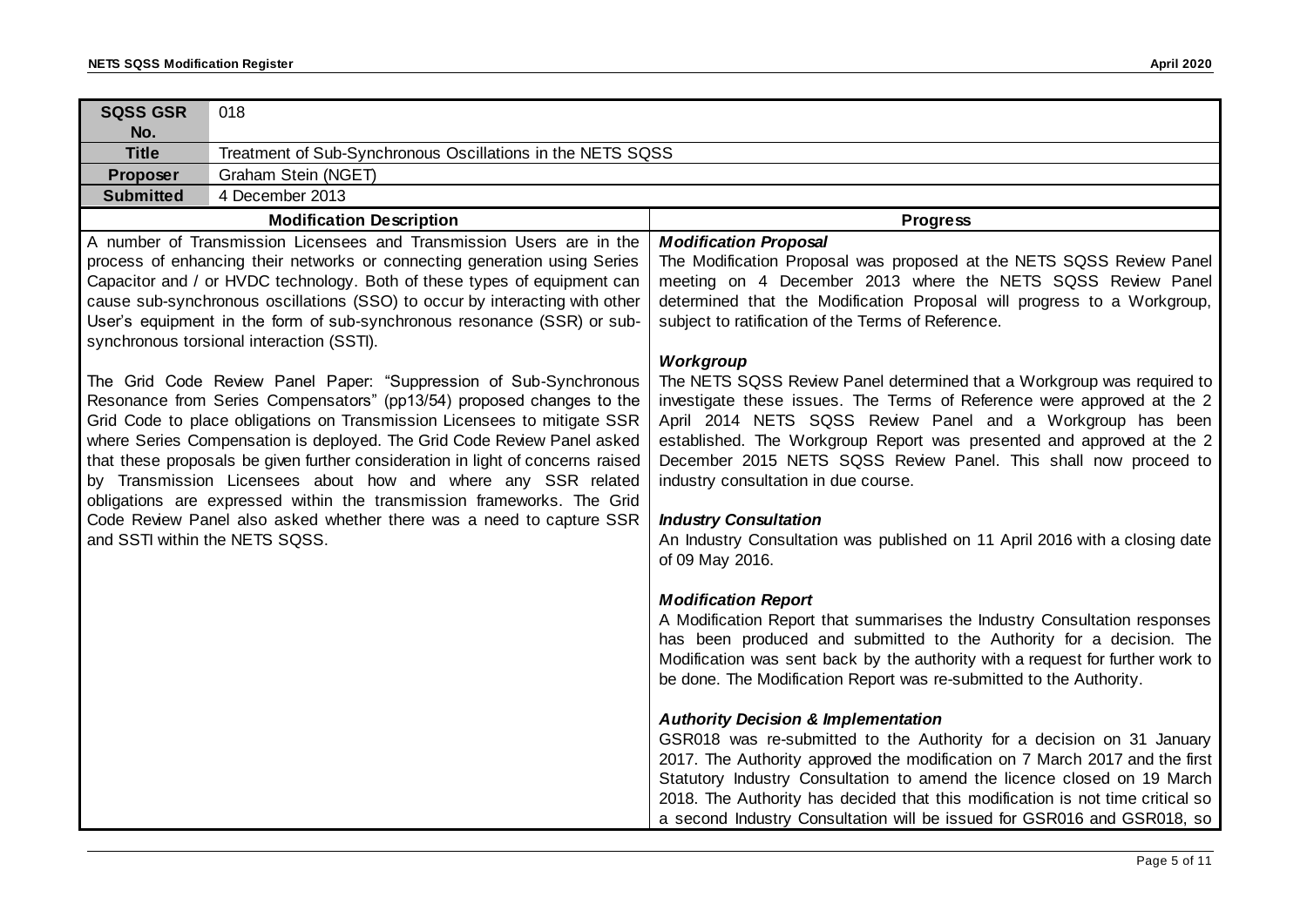| <b>SQSS GSR</b><br>No.         | 018                                                                                                                                                                                                                                                                                                                                                                                                                                                                                                                                                                                                     |                                                                                                                                                                                                                                                                                                                                                                                                                                                |  |  |  |
|--------------------------------|---------------------------------------------------------------------------------------------------------------------------------------------------------------------------------------------------------------------------------------------------------------------------------------------------------------------------------------------------------------------------------------------------------------------------------------------------------------------------------------------------------------------------------------------------------------------------------------------------------|------------------------------------------------------------------------------------------------------------------------------------------------------------------------------------------------------------------------------------------------------------------------------------------------------------------------------------------------------------------------------------------------------------------------------------------------|--|--|--|
| <b>Title</b>                   | Treatment of Sub-Synchronous Oscillations in the NETS SQSS                                                                                                                                                                                                                                                                                                                                                                                                                                                                                                                                              |                                                                                                                                                                                                                                                                                                                                                                                                                                                |  |  |  |
| Proposer                       | Graham Stein (NGET)                                                                                                                                                                                                                                                                                                                                                                                                                                                                                                                                                                                     |                                                                                                                                                                                                                                                                                                                                                                                                                                                |  |  |  |
| <b>Submitted</b>               | 4 December 2013                                                                                                                                                                                                                                                                                                                                                                                                                                                                                                                                                                                         |                                                                                                                                                                                                                                                                                                                                                                                                                                                |  |  |  |
|                                | <b>Modification Description</b>                                                                                                                                                                                                                                                                                                                                                                                                                                                                                                                                                                         | <b>Progress</b>                                                                                                                                                                                                                                                                                                                                                                                                                                |  |  |  |
|                                | A number of Transmission Licensees and Transmission Users are in the<br>process of enhancing their networks or connecting generation using Series<br>Capacitor and / or HVDC technology. Both of these types of equipment can<br>cause sub-synchronous oscillations (SSO) to occur by interacting with other<br>User's equipment in the form of sub-synchronous resonance (SSR) or sub-<br>synchronous torsional interaction (SSTI).                                                                                                                                                                    | <b>Modification Proposal</b><br>The Modification Proposal was proposed at the NETS SQSS Review Panel<br>meeting on 4 December 2013 where the NETS SQSS Review Panel<br>determined that the Modification Proposal will progress to a Workgroup,<br>subject to ratification of the Terms of Reference.<br>Workgroup                                                                                                                              |  |  |  |
|                                | The Grid Code Review Panel Paper: "Suppression of Sub-Synchronous<br>Resonance from Series Compensators" (pp13/54) proposed changes to the<br>Grid Code to place obligations on Transmission Licensees to mitigate SSR<br>where Series Compensation is deployed. The Grid Code Review Panel asked<br>that these proposals be given further consideration in light of concerns raised<br>by Transmission Licensees about how and where any SSR related<br>obligations are expressed within the transmission frameworks. The Grid<br>Code Review Panel also asked whether there was a need to capture SSR | The NETS SQSS Review Panel determined that a Workgroup was required to<br>investigate these issues. The Terms of Reference were approved at the 2<br>April 2014 NETS SQSS Review Panel and a Workgroup has been<br>established. The Workgroup Report was presented and approved at the 2<br>December 2015 NETS SQSS Review Panel. This shall now proceed to<br>industry consultation in due course.<br><b>Industry Consultation</b>            |  |  |  |
| and SSTI within the NETS SQSS. |                                                                                                                                                                                                                                                                                                                                                                                                                                                                                                                                                                                                         | An Industry Consultation was published on 11 April 2016 with a closing date<br>of 09 May 2016.                                                                                                                                                                                                                                                                                                                                                 |  |  |  |
|                                |                                                                                                                                                                                                                                                                                                                                                                                                                                                                                                                                                                                                         | <b>Modification Report</b><br>A Modification Report that summarises the Industry Consultation responses<br>has been produced and submitted to the Authority for a decision. The<br>Modification was sent back by the authority with a request for further work to<br>be done. The Modification Report was re-submitted to the Authority.                                                                                                       |  |  |  |
|                                |                                                                                                                                                                                                                                                                                                                                                                                                                                                                                                                                                                                                         | <b>Authority Decision &amp; Implementation</b><br>GSR018 was re-submitted to the Authority for a decision on 31 January<br>2017. The Authority approved the modification on 7 March 2017 and the first<br>Statutory Industry Consultation to amend the licence closed on 19 March<br>2018. The Authority has decided that this modification is not time critical so<br>a second Industry Consultation will be issued for GSR016 and GSR018, so |  |  |  |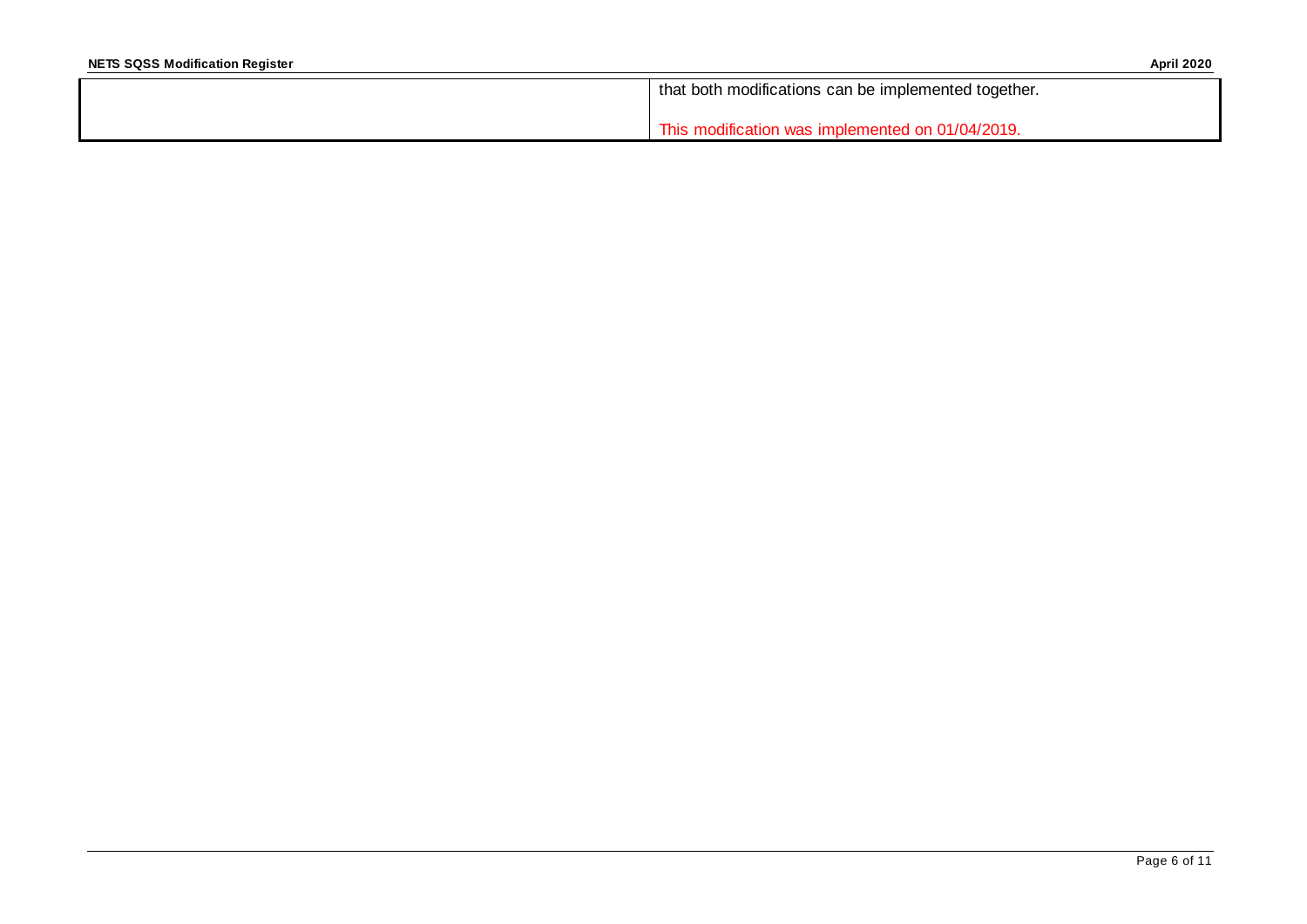| that both modifications can be implemented together. |
|------------------------------------------------------|
| This modification was implemented on 01/04/2019.     |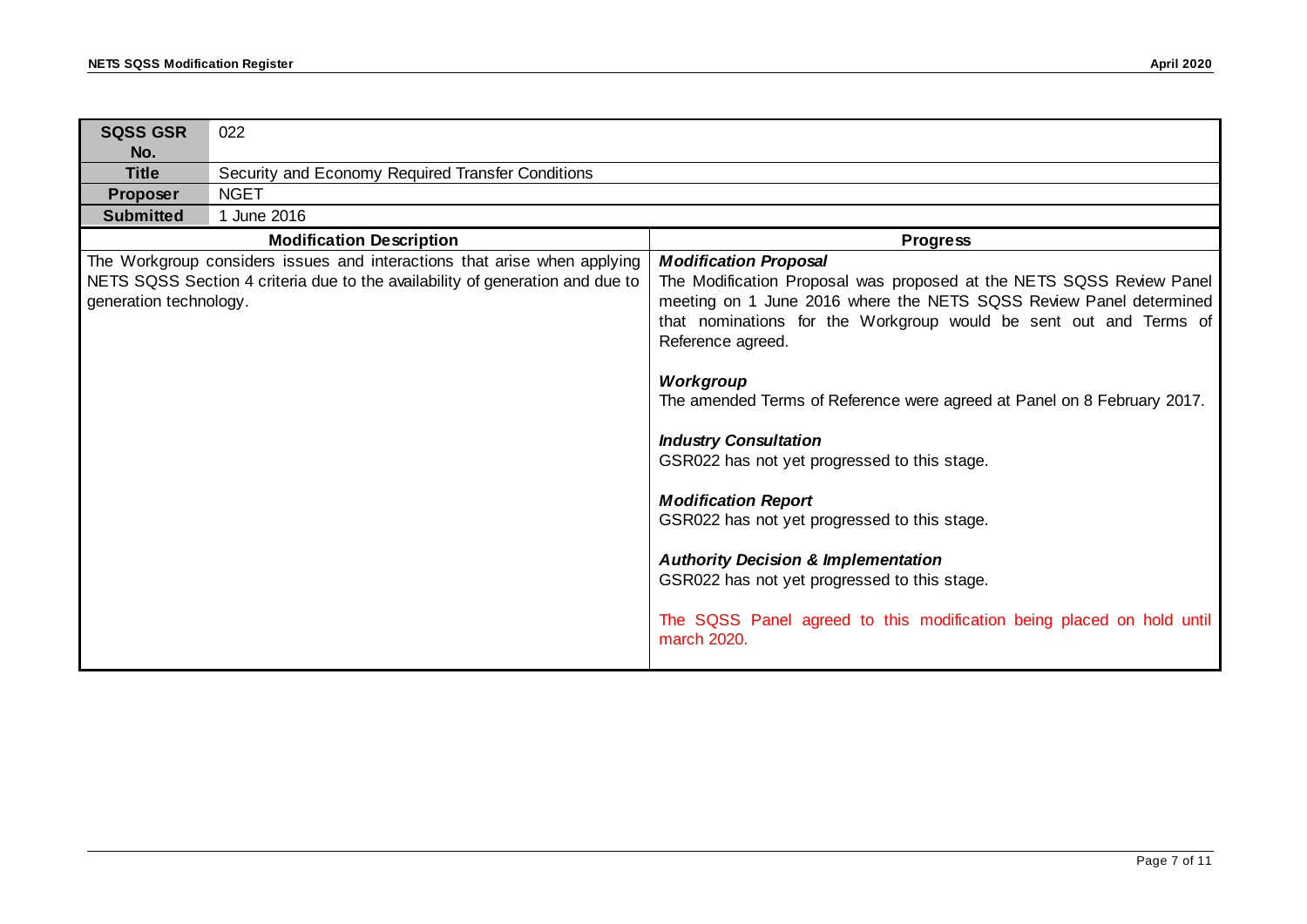| <b>SQSS GSR</b><br>No. | 022                                                                                                                                                       |                                                                                                                                                                                                                                                                                                                                                                                                                                                                                                                                                                              |  |  |  |
|------------------------|-----------------------------------------------------------------------------------------------------------------------------------------------------------|------------------------------------------------------------------------------------------------------------------------------------------------------------------------------------------------------------------------------------------------------------------------------------------------------------------------------------------------------------------------------------------------------------------------------------------------------------------------------------------------------------------------------------------------------------------------------|--|--|--|
| <b>Title</b>           | Security and Economy Required Transfer Conditions                                                                                                         |                                                                                                                                                                                                                                                                                                                                                                                                                                                                                                                                                                              |  |  |  |
| Proposer               | <b>NGET</b>                                                                                                                                               |                                                                                                                                                                                                                                                                                                                                                                                                                                                                                                                                                                              |  |  |  |
| <b>Submitted</b>       | 1 June 2016                                                                                                                                               |                                                                                                                                                                                                                                                                                                                                                                                                                                                                                                                                                                              |  |  |  |
|                        | <b>Modification Description</b>                                                                                                                           | <b>Progress</b>                                                                                                                                                                                                                                                                                                                                                                                                                                                                                                                                                              |  |  |  |
| generation technology. | The Workgroup considers issues and interactions that arise when applying<br>NETS SQSS Section 4 criteria due to the availability of generation and due to | <b>Modification Proposal</b><br>The Modification Proposal was proposed at the NETS SQSS Review Panel<br>meeting on 1 June 2016 where the NETS SQSS Review Panel determined<br>that nominations for the Workgroup would be sent out and Terms of<br>Reference agreed.<br>Workgroup<br>The amended Terms of Reference were agreed at Panel on 8 February 2017.<br><b>Industry Consultation</b><br>GSR022 has not yet progressed to this stage.<br><b>Modification Report</b><br>GSR022 has not yet progressed to this stage.<br><b>Authority Decision &amp; Implementation</b> |  |  |  |
|                        |                                                                                                                                                           | GSR022 has not yet progressed to this stage.<br>The SQSS Panel agreed to this modification being placed on hold until<br>march 2020.                                                                                                                                                                                                                                                                                                                                                                                                                                         |  |  |  |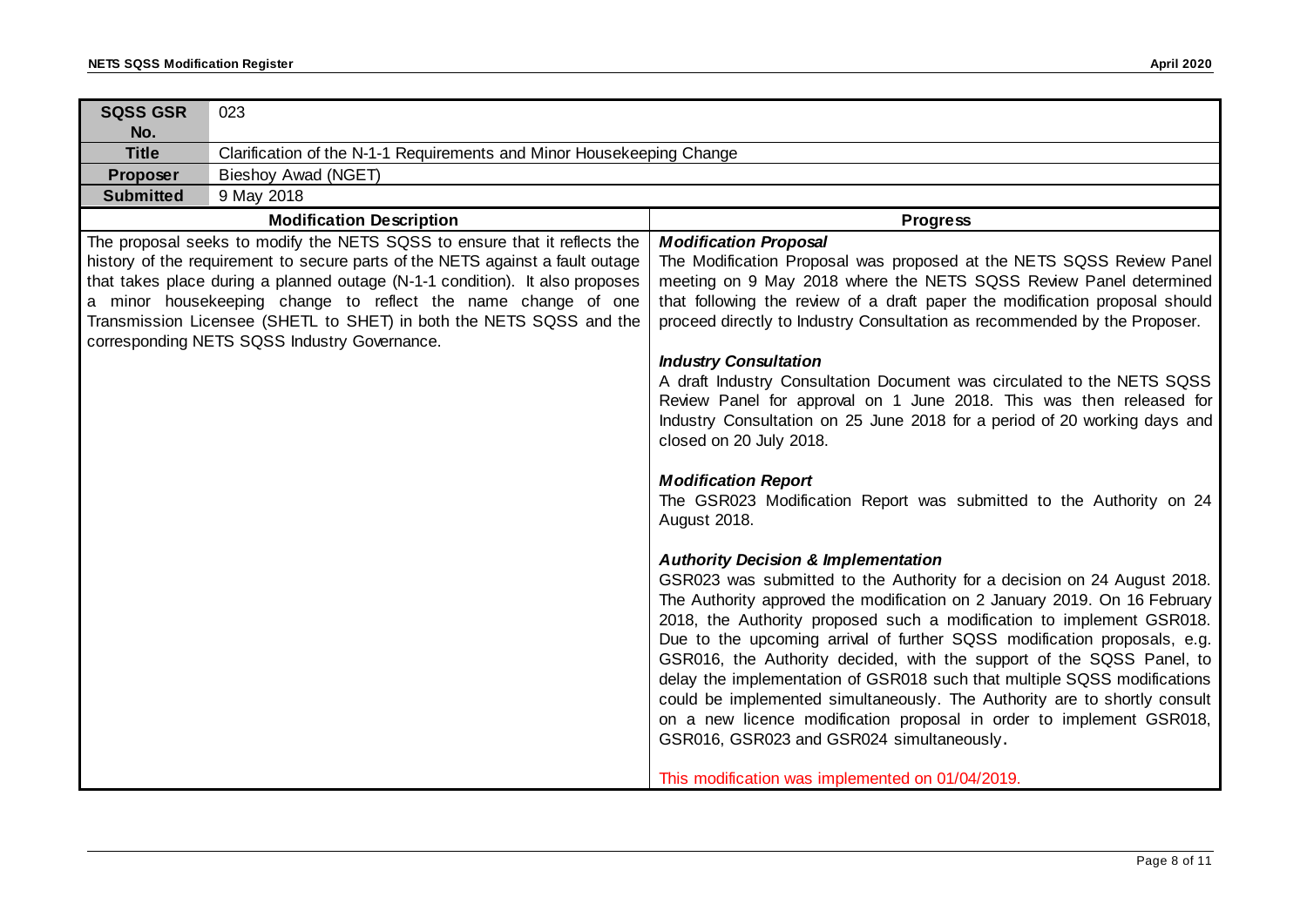| <b>SQSS GSR</b><br>No. | 023                                                                                                                                                                                                                                                                                                                                                                                                                                |                                                                                                                                                                                                                                                                                                                                                                                                                                                                                                                                                                                                                                                                                                                                                                                                                                                                                                                                                                                                                                                                                                                                                                                                                                                                                                                                                                                                                                                                                                                                |  |  |  |  |
|------------------------|------------------------------------------------------------------------------------------------------------------------------------------------------------------------------------------------------------------------------------------------------------------------------------------------------------------------------------------------------------------------------------------------------------------------------------|--------------------------------------------------------------------------------------------------------------------------------------------------------------------------------------------------------------------------------------------------------------------------------------------------------------------------------------------------------------------------------------------------------------------------------------------------------------------------------------------------------------------------------------------------------------------------------------------------------------------------------------------------------------------------------------------------------------------------------------------------------------------------------------------------------------------------------------------------------------------------------------------------------------------------------------------------------------------------------------------------------------------------------------------------------------------------------------------------------------------------------------------------------------------------------------------------------------------------------------------------------------------------------------------------------------------------------------------------------------------------------------------------------------------------------------------------------------------------------------------------------------------------------|--|--|--|--|
| <b>Title</b>           | Clarification of the N-1-1 Requirements and Minor Housekeeping Change                                                                                                                                                                                                                                                                                                                                                              |                                                                                                                                                                                                                                                                                                                                                                                                                                                                                                                                                                                                                                                                                                                                                                                                                                                                                                                                                                                                                                                                                                                                                                                                                                                                                                                                                                                                                                                                                                                                |  |  |  |  |
| Proposer               | Bieshoy Awad (NGET)                                                                                                                                                                                                                                                                                                                                                                                                                |                                                                                                                                                                                                                                                                                                                                                                                                                                                                                                                                                                                                                                                                                                                                                                                                                                                                                                                                                                                                                                                                                                                                                                                                                                                                                                                                                                                                                                                                                                                                |  |  |  |  |
| <b>Submitted</b>       | 9 May 2018                                                                                                                                                                                                                                                                                                                                                                                                                         |                                                                                                                                                                                                                                                                                                                                                                                                                                                                                                                                                                                                                                                                                                                                                                                                                                                                                                                                                                                                                                                                                                                                                                                                                                                                                                                                                                                                                                                                                                                                |  |  |  |  |
|                        | <b>Modification Description</b>                                                                                                                                                                                                                                                                                                                                                                                                    | <b>Progress</b>                                                                                                                                                                                                                                                                                                                                                                                                                                                                                                                                                                                                                                                                                                                                                                                                                                                                                                                                                                                                                                                                                                                                                                                                                                                                                                                                                                                                                                                                                                                |  |  |  |  |
|                        | The proposal seeks to modify the NETS SQSS to ensure that it reflects the<br>history of the requirement to secure parts of the NETS against a fault outage<br>that takes place during a planned outage (N-1-1 condition). It also proposes<br>a minor housekeeping change to reflect the name change of one<br>Transmission Licensee (SHETL to SHET) in both the NETS SQSS and the<br>corresponding NETS SQSS Industry Governance. | <b>Modification Proposal</b><br>The Modification Proposal was proposed at the NETS SQSS Review Panel<br>meeting on 9 May 2018 where the NETS SQSS Review Panel determined<br>that following the review of a draft paper the modification proposal should<br>proceed directly to Industry Consultation as recommended by the Proposer.<br><b>Industry Consultation</b><br>A draft Industry Consultation Document was circulated to the NETS SQSS<br>Review Panel for approval on 1 June 2018. This was then released for<br>Industry Consultation on 25 June 2018 for a period of 20 working days and<br>closed on 20 July 2018.<br><b>Modification Report</b><br>The GSR023 Modification Report was submitted to the Authority on 24<br>August 2018.<br><b>Authority Decision &amp; Implementation</b><br>GSR023 was submitted to the Authority for a decision on 24 August 2018.<br>The Authority approved the modification on 2 January 2019. On 16 February<br>2018, the Authority proposed such a modification to implement GSR018.<br>Due to the upcoming arrival of further SQSS modification proposals, e.g.<br>GSR016, the Authority decided, with the support of the SQSS Panel, to<br>delay the implementation of GSR018 such that multiple SQSS modifications<br>could be implemented simultaneously. The Authority are to shortly consult<br>on a new licence modification proposal in order to implement GSR018,<br>GSR016, GSR023 and GSR024 simultaneously.<br>This modification was implemented on 01/04/2019. |  |  |  |  |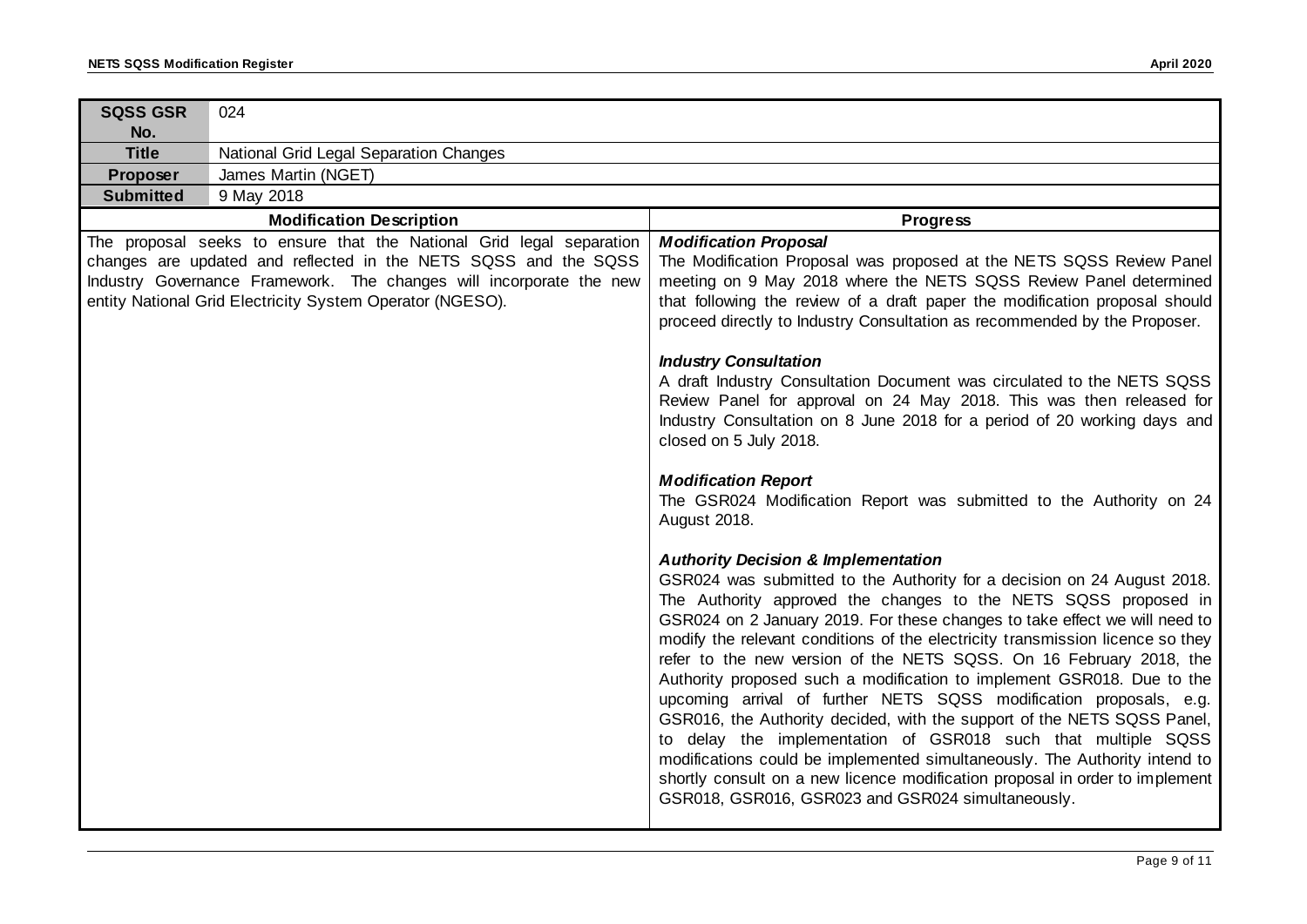| <b>SQSS GSR</b><br>No. | 024                                                                                                                                                                                                                                                                         |                                                                                                                                                                                                                                                                                                                                                                                                                                                                                                                                                                                                                                                                                                                                                                                                                                                                                                                                                                                                                                                                         |  |  |  |
|------------------------|-----------------------------------------------------------------------------------------------------------------------------------------------------------------------------------------------------------------------------------------------------------------------------|-------------------------------------------------------------------------------------------------------------------------------------------------------------------------------------------------------------------------------------------------------------------------------------------------------------------------------------------------------------------------------------------------------------------------------------------------------------------------------------------------------------------------------------------------------------------------------------------------------------------------------------------------------------------------------------------------------------------------------------------------------------------------------------------------------------------------------------------------------------------------------------------------------------------------------------------------------------------------------------------------------------------------------------------------------------------------|--|--|--|
| <b>Title</b>           | National Grid Legal Separation Changes                                                                                                                                                                                                                                      |                                                                                                                                                                                                                                                                                                                                                                                                                                                                                                                                                                                                                                                                                                                                                                                                                                                                                                                                                                                                                                                                         |  |  |  |
| Proposer               | James Martin (NGET)                                                                                                                                                                                                                                                         |                                                                                                                                                                                                                                                                                                                                                                                                                                                                                                                                                                                                                                                                                                                                                                                                                                                                                                                                                                                                                                                                         |  |  |  |
| <b>Submitted</b>       | 9 May 2018                                                                                                                                                                                                                                                                  |                                                                                                                                                                                                                                                                                                                                                                                                                                                                                                                                                                                                                                                                                                                                                                                                                                                                                                                                                                                                                                                                         |  |  |  |
|                        | <b>Modification Description</b>                                                                                                                                                                                                                                             | <b>Progress</b>                                                                                                                                                                                                                                                                                                                                                                                                                                                                                                                                                                                                                                                                                                                                                                                                                                                                                                                                                                                                                                                         |  |  |  |
|                        | The proposal seeks to ensure that the National Grid legal separation<br>changes are updated and reflected in the NETS SQSS and the SQSS<br>Industry Governance Framework. The changes will incorporate the new<br>entity National Grid Electricity System Operator (NGESO). | <b>Modification Proposal</b><br>The Modification Proposal was proposed at the NETS SQSS Review Panel<br>meeting on 9 May 2018 where the NETS SQSS Review Panel determined<br>that following the review of a draft paper the modification proposal should<br>proceed directly to Industry Consultation as recommended by the Proposer.<br><b>Industry Consultation</b><br>A draft Industry Consultation Document was circulated to the NETS SQSS<br>Review Panel for approval on 24 May 2018. This was then released for<br>Industry Consultation on 8 June 2018 for a period of 20 working days and<br>closed on 5 July 2018.                                                                                                                                                                                                                                                                                                                                                                                                                                           |  |  |  |
|                        |                                                                                                                                                                                                                                                                             | <b>Modification Report</b><br>The GSR024 Modification Report was submitted to the Authority on 24<br>August 2018.<br><b>Authority Decision &amp; Implementation</b><br>GSR024 was submitted to the Authority for a decision on 24 August 2018.<br>The Authority approved the changes to the NETS SQSS proposed in<br>GSR024 on 2 January 2019. For these changes to take effect we will need to<br>modify the relevant conditions of the electricity transmission licence so they<br>refer to the new version of the NETS SQSS. On 16 February 2018, the<br>Authority proposed such a modification to implement GSR018. Due to the<br>upcoming arrival of further NETS SQSS modification proposals, e.g.<br>GSR016, the Authority decided, with the support of the NETS SQSS Panel,<br>to delay the implementation of GSR018 such that multiple SQSS<br>modifications could be implemented simultaneously. The Authority intend to<br>shortly consult on a new licence modification proposal in order to implement<br>GSR018, GSR016, GSR023 and GSR024 simultaneously. |  |  |  |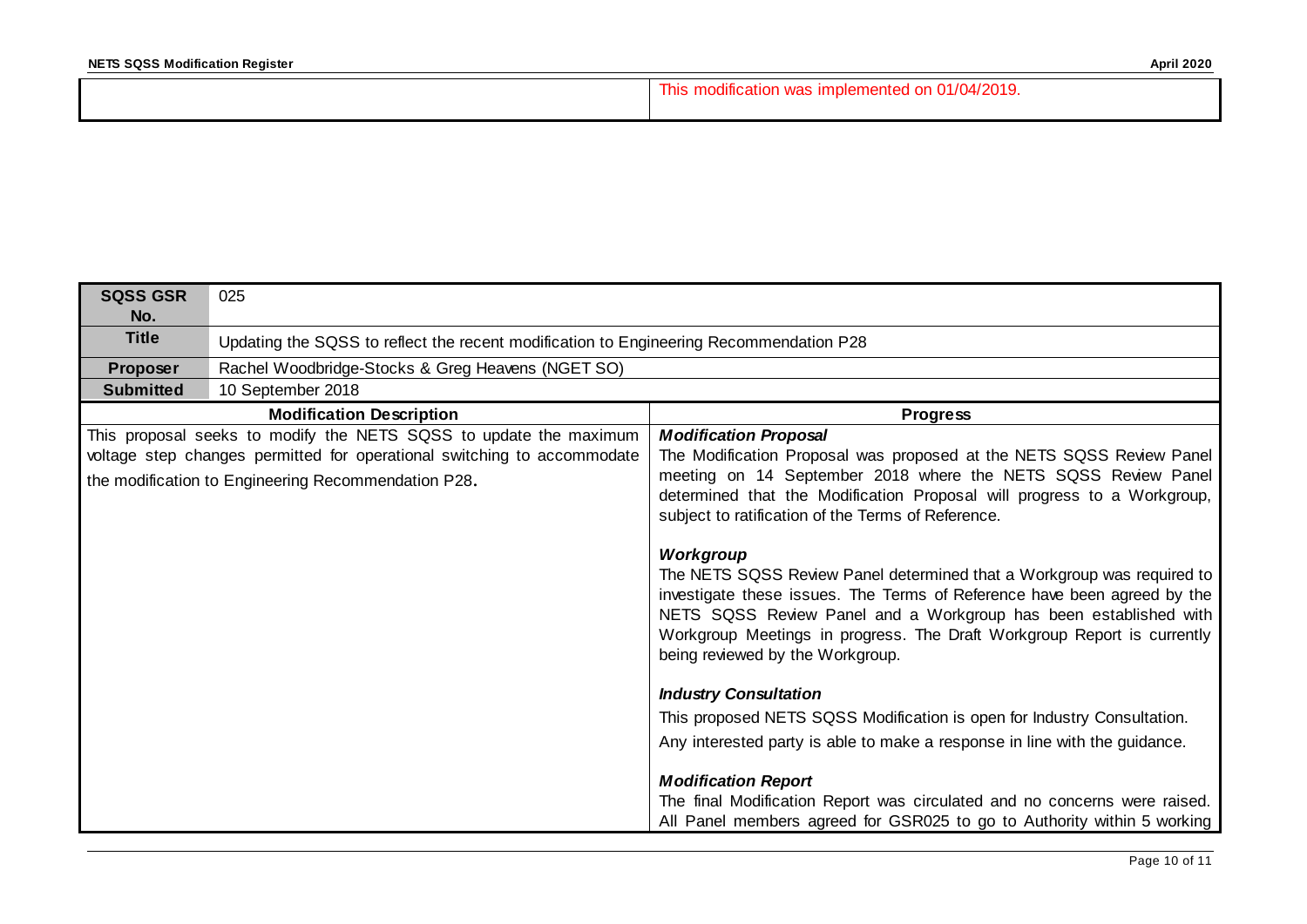| This modification was implemented on 01/04/2019. |
|--------------------------------------------------|
|                                                  |

| <b>SQSS GSR</b><br>No. | 025                                                                                                                                                                                                 |                                                                                                                                                                                                                                                                                                                                                                             |  |  |  |
|------------------------|-----------------------------------------------------------------------------------------------------------------------------------------------------------------------------------------------------|-----------------------------------------------------------------------------------------------------------------------------------------------------------------------------------------------------------------------------------------------------------------------------------------------------------------------------------------------------------------------------|--|--|--|
| <b>Title</b>           | Updating the SQSS to reflect the recent modification to Engineering Recommendation P28                                                                                                              |                                                                                                                                                                                                                                                                                                                                                                             |  |  |  |
| Proposer               | Rachel Woodbridge-Stocks & Greg Heavens (NGET SO)                                                                                                                                                   |                                                                                                                                                                                                                                                                                                                                                                             |  |  |  |
| <b>Submitted</b>       | 10 September 2018                                                                                                                                                                                   |                                                                                                                                                                                                                                                                                                                                                                             |  |  |  |
|                        | <b>Modification Description</b>                                                                                                                                                                     | <b>Progress</b>                                                                                                                                                                                                                                                                                                                                                             |  |  |  |
|                        | This proposal seeks to modify the NETS SQSS to update the maximum<br>voltage step changes permitted for operational switching to accommodate<br>the modification to Engineering Recommendation P28. | <b>Modification Proposal</b><br>The Modification Proposal was proposed at the NETS SQSS Review Panel<br>meeting on 14 September 2018 where the NETS SQSS Review Panel<br>determined that the Modification Proposal will progress to a Workgroup,<br>subject to ratification of the Terms of Reference.                                                                      |  |  |  |
|                        |                                                                                                                                                                                                     | Workgroup<br>The NETS SQSS Review Panel determined that a Workgroup was required to<br>investigate these issues. The Terms of Reference have been agreed by the<br>NETS SQSS Review Panel and a Workgroup has been established with<br>Workgroup Meetings in progress. The Draft Workgroup Report is currently<br>being reviewed by the Workgroup.                          |  |  |  |
|                        |                                                                                                                                                                                                     | <b>Industry Consultation</b><br>This proposed NETS SQSS Modification is open for Industry Consultation.<br>Any interested party is able to make a response in line with the guidance.<br><b>Modification Report</b><br>The final Modification Report was circulated and no concerns were raised.<br>All Panel members agreed for GSR025 to go to Authority within 5 working |  |  |  |